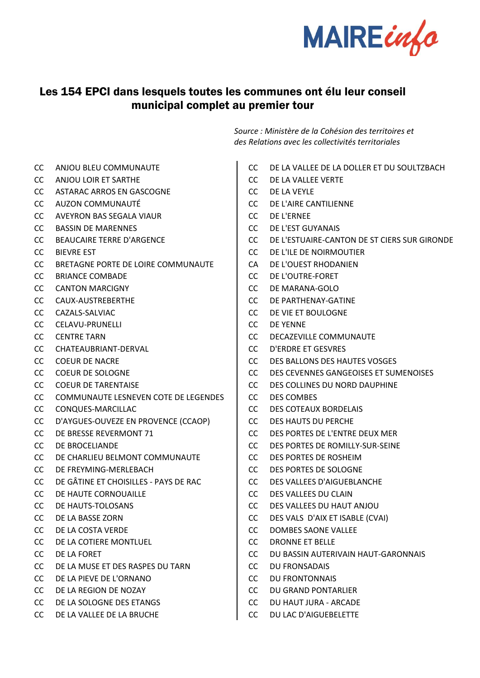

## Les 154 EPCI dans lesquels toutes les communes ont élu leur conseil municipal complet au premier tour

- CC ANJOU BLEU COMMUNAUTE
- CC ANJOU LOIR ET SARTHE
- CC ASTARAC ARROS EN GASCOGNE
- CC AUZON COMMUNAUTÉ
- CC AVEYRON BAS SEGALA VIAUR
- CC BASSIN DE MARENNES
- CC BEAUCAIRE TERRE D'ARGENCE
- CC BIEVRE EST
- CC BRETAGNE PORTE DE LOIRE COMMUNAUTE
- CC BRIANCE COMBADE
- CC CANTON MARCIGNY
- CC CAUX-AUSTREBERTHE
- CC CAZALS-SALVIAC
- CC CELAVU-PRUNELLI
- CC CENTRE TARN
- CC CHATEAUBRIANT-DERVAL
- CC COEUR DE NACRE
- CC COEUR DE SOLOGNE
- CC COEUR DE TARENTAISE
- CC COMMUNAUTE LESNEVEN COTE DE LEGENDES
- CC CONQUES-MARCILLAC
- CC D'AYGUES-OUVEZE EN PROVENCE (CCAOP)
- CC DE BRESSE REVERMONT 71
- CC DE BROCELIANDE
- CC DE CHARLIEU BELMONT COMMUNAUTE
- CC DE FREYMING-MERLEBACH
- CC DE GÂTINE ET CHOISILLES PAYS DE RAC
- CC DE HAUTE CORNOUAILLE
- CC DE HAUTS-TOLOSANS
- CC DE LA BASSE ZORN
- CC DE LA COSTA VERDE
- CC DE LA COTIERE MONTLUEL
- CC DE LA FORET
- CC DE LA MUSE ET DES RASPES DU TARN
- CC DE LA PIEVE DE L'ORNANO
- CC DE LA REGION DE NOZAY
- CC DE LA SOLOGNE DES ETANGS
- CC DE LA VALLEE DE LA BRUCHE

*Source : Ministère de la Cohésion des territoires et des Relations avec les collectivités territoriales*

- CC DE LA VALLEE DE LA DOLLER ET DU SOULTZBACH
- CC DE LA VALLEE VERTE
- CC DE LA VEYLE
- CC DE L'AIRE CANTILIENNE
- CC DE L'ERNEE
- CC DE L'EST GUYANAIS
- CC DE L'ESTUAIRE-CANTON DE ST CIERS SUR GIRONDE
- CC DE L'ILE DE NOIRMOUTIER
- CA DE L'OUEST RHODANIEN
- CC DE L'OUTRE-FORET
- CC DE MARANA-GOLO
- CC DE PARTHENAY-GATINE
- CC DE VIE ET BOULOGNE
- CC DE YENNE
- CC DECAZEVILLE COMMUNAUTE
- CC D'ERDRE ET GESVRES
- CC DES BALLONS DES HAUTES VOSGES
- CC DES CEVENNES GANGEOISES ET SUMENOISES
- CC DES COLLINES DU NORD DAUPHINE
- CC DES COMBES
- CC DES COTEAUX BORDELAIS
- CC DES HAUTS DU PERCHE
- CC DES PORTES DE L'ENTRE DEUX MER
- CC DES PORTES DE ROMILLY-SUR-SEINE
- CC DES PORTES DE ROSHEIM
- CC DES PORTES DE SOLOGNE
- CC DES VALLEES D'AIGUEBLANCHE
- CC DES VALLEES DU CLAIN
- CC DES VALLEES DU HAUT ANJOU
- CC DES VALS D'AIX ET ISABLE (CVAI)
- CC DOMBES SAONE VALLEE
- CC DRONNE ET BELLE
- CC DU BASSIN AUTERIVAIN HAUT-GARONNAIS
- CC DU FRONSADAIS
- CC DU FRONTONNAIS
- CC DU GRAND PONTARLIER
- CC DU HAUT JURA ARCADE
- CC DU LAC D'AIGUEBELETTE